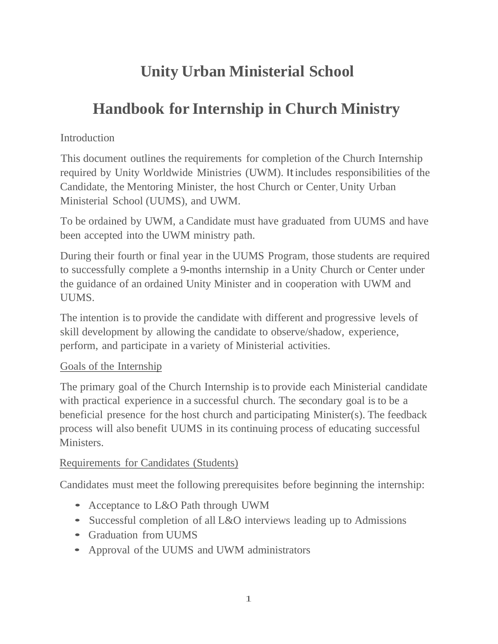# **Unity Urban Ministerial School**

# **Handbook for Internship in Church Ministry**

#### **Introduction**

This document outlines the requirements for completion of the Church Internship required by Unity Worldwide Ministries (UWM). Itincludes responsibilities of the Candidate, the Mentoring Minister, the host Church or Center, Unity Urban Ministerial School (UUMS), and UWM.

To be ordained by UWM, a Candidate must have graduated from UUMS and have been accepted into the UWM ministry path.

During their fourth or final year in the UUMS Program, those students are required to successfully complete a 9-months internship in a Unity Church or Center under the guidance of an ordained Unity Minister and in cooperation with UWM and UUMS.

The intention is to provide the candidate with different and progressive levels of skill development by allowing the candidate to observe/shadow, experience, perform, and participate in a variety of Ministerial activities.

#### Goals of the Internship

The primary goal of the Church Internship isto provide each Ministerial candidate with practical experience in a successful church. The secondary goal is to be a beneficial presence for the host church and participating Minister(s). The feedback process will also benefit UUMS in its continuing process of educating successful Ministers.

#### Requirements for Candidates (Students)

Candidates must meet the following prerequisites before beginning the internship:

- Acceptance to L&O Path through UWM
- Successful completion of all L&O interviews leading up to Admissions
- Graduation from UUMS
- Approval of the UUMS and UWM administrators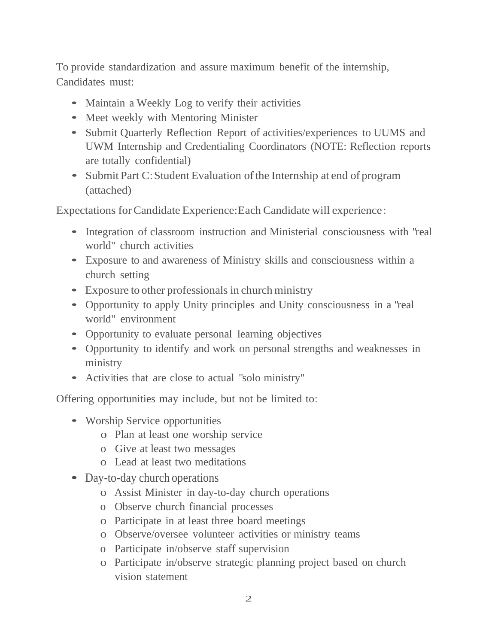To provide standardization and assure maximum benefit of the internship, Candidates must:

- Maintain a Weekly Log to verify their activities
- Meet weekly with Mentoring Minister
- Submit Quarterly Reflection Report of activities/experiences to UUMS and UWM Internship and Credentialing Coordinators (NOTE: Reflection reports are totally confidential)
- Submit Part C: Student Evaluation of the Internship at end of program (attached)

Expectations forCandidate Experience:Each Candidate will experience:

- Integration of classroom instruction and Ministerial consciousness with "real world" church activities
- Exposure to and awareness of Ministry skills and consciousness within <sup>a</sup> church setting
- Exposure to other professionals in church ministry
- Opportunity to apply Unity principles and Unity consciousness in <sup>a</sup> "real world" environment
- Opportunity to evaluate personal learning objectives
- Opportunity to identify and work on personal strengths and weaknesses in ministry
- Activities that are close to actual "solo ministry"

Offering opportunities may include, but not be limited to:

- Worship Service opportunities
	- o Plan at least one worship service
	- o Give at least two messages
	- o Lead at least two meditations
- Day-to-day church operations
	- o Assist Minister in day-to-day church operations
	- o Observe church financial processes
	- o Participate in at least three board meetings
	- o Observe/oversee volunteer activities or ministry teams
	- o Participate in/observe staff supervision
	- o Participate in/observe strategic planning project based on church vision statement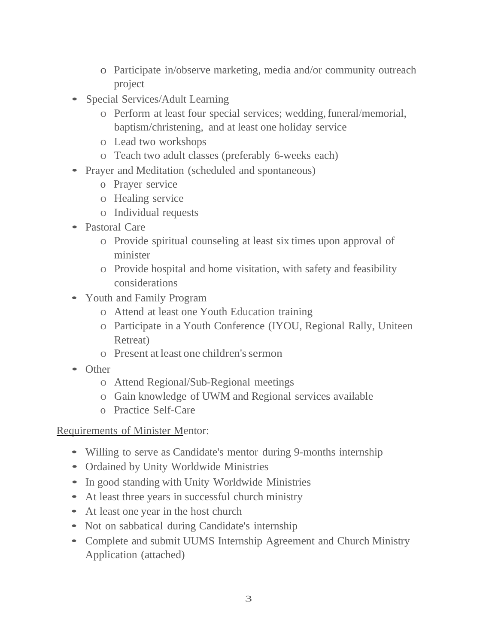- o Participate in/observe marketing, media and/or community outreach project
- Special Services/Adult Learning
	- o Perform at least four special services; wedding,funeral/memorial, baptism/christening, and at least one holiday service
	- o Lead two workshops
	- o Teach two adult classes (preferably 6-weeks each)
- Prayer and Meditation (scheduled and spontaneous)
	- o Prayer service
	- o Healing service
	- o Individual requests
- Pastoral Care
	- o Provide spiritual counseling at least six times upon approval of minister
	- o Provide hospital and home visitation, with safety and feasibility considerations
- Youth and Family Program
	- o Attend at least one Youth Education training
	- o Participate in a Youth Conference (IYOU, Regional Rally, Uniteen Retreat)
	- o Present at least one children'ssermon
- Other
	- o Attend Regional/Sub-Regional meetings
	- o Gain knowledge of UWM and Regional services available
	- o Practice Self-Care

#### Requirements of Minister Mentor:

- Willing to serve as Candidate's mentor during 9-months internship
- Ordained by Unity Worldwide Ministries
- In good standing with Unity Worldwide Ministries
- At least three years in successful church ministry
- At least one year in the host church
- Not on sabbatical during Candidate's internship
- Complete and submit UUMS Internship Agreement and Church Ministry Application (attached)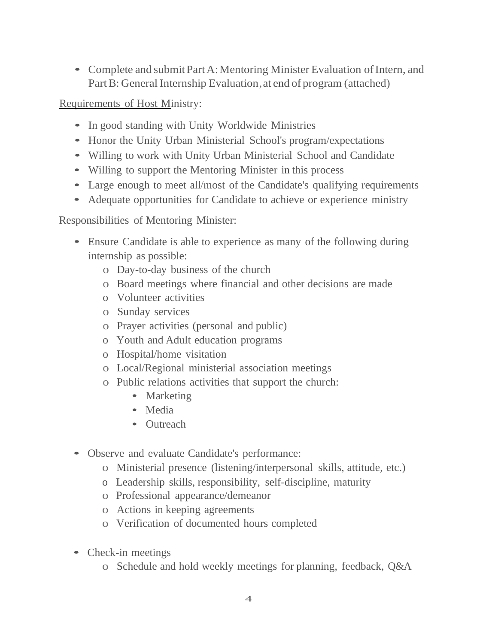• Complete and submit Part A: Mentoring Minister Evaluation of Intern, and Part B: General Internship Evaluation, at end of program (attached)

Requirements of Host Ministry:

- In good standing with Unity Worldwide Ministries
- Honor the Unity Urban Ministerial School's program/expectations
- Willing to work with Unity Urban Ministerial School and Candidate
- Willing to support the Mentoring Minister in this process
- Large enough to meet all/most of the Candidate's qualifying requirements
- Adequate opportunities for Candidate to achieve or experience ministry

Responsibilities of Mentoring Minister:

- Ensure Candidate is able to experience as many of the following during internship as possible:
	- o Day-to-day business of the church
	- o Board meetings where financial and other decisions are made
	- o Volunteer activities
	- o Sunday services
	- o Prayer activities (personal and public)
	- o Youth and Adult education programs
	- o Hospital/home visitation
	- o Local/Regional ministerial association meetings
	- o Public relations activities that support the church:
		- Marketing
		- Media
		- Outreach
- Observe and evaluate Candidate's performance:
	- o Ministerial presence (listening/interpersonal skills, attitude, etc.)
	- o Leadership skills, responsibility, self-discipline, maturity
	- o Professional appearance/demeanor
	- o Actions in keeping agreements
	- o Verification of documented hours completed
- Check-in meetings
	- o Schedule and hold weekly meetings for planning, feedback, Q&A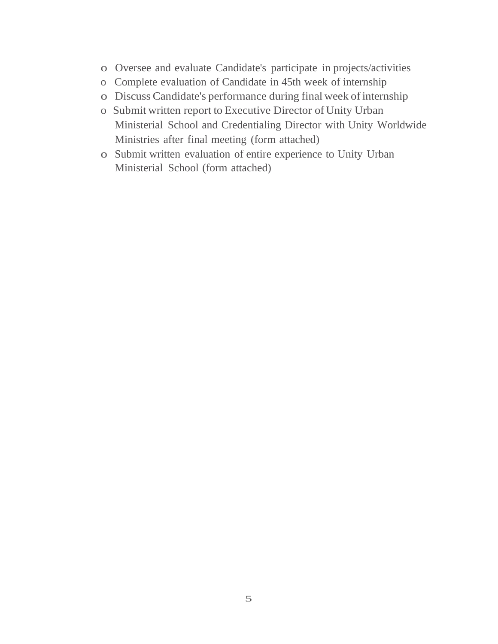- o Oversee and evaluate Candidate's participate in projects/activities
- o Complete evaluation of Candidate in 45th week of internship
- o Discuss Candidate's performance during final week of internship
- o Submit written report to Executive Director of Unity Urban Ministerial School and Credentialing Director with Unity Worldwide Ministries after final meeting (form attached)
- o Submit written evaluation of entire experience to Unity Urban Ministerial School (form attached)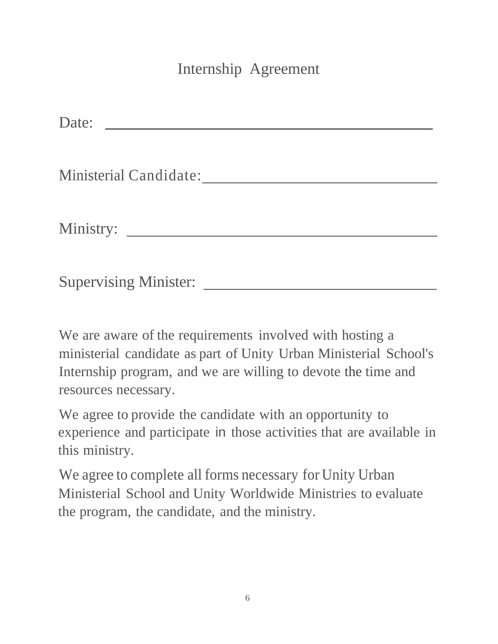# Internship Agreement

Date:

Ministerial Candidate:

Ministry:

Supervising Minister:

We are aware of the requirements involved with hosting a ministerial candidate as part of Unity Urban Ministerial School's Internship program, and we are willing to devote the time and resources necessary.

We agree to provide the candidate with an opportunity to experience and participate in those activities that are available in this ministry.

We agree to complete all forms necessary for Unity Urban Ministerial School and Unity Worldwide Ministries to evaluate the program, the candidate, and the ministry.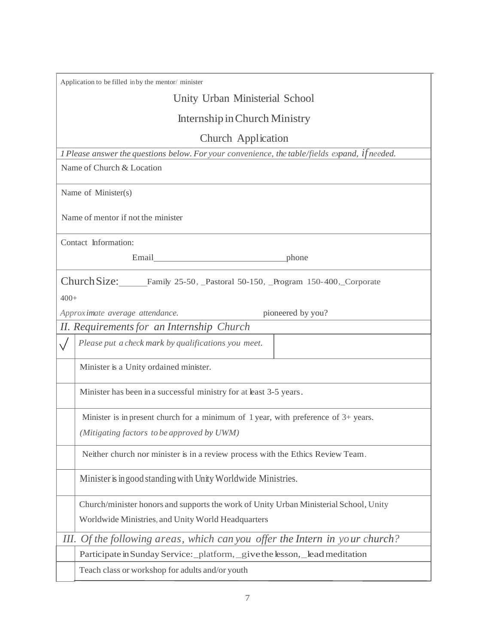| Application to be filled in by the mentor/minister                                                                                                                                                                                      |  |  |  |  |
|-----------------------------------------------------------------------------------------------------------------------------------------------------------------------------------------------------------------------------------------|--|--|--|--|
| Unity Urban Ministerial School                                                                                                                                                                                                          |  |  |  |  |
| Internship in Church Ministry                                                                                                                                                                                                           |  |  |  |  |
| Church Application                                                                                                                                                                                                                      |  |  |  |  |
| 1 Please answer the questions below. For your convenience, the table/fields expand, if needed.                                                                                                                                          |  |  |  |  |
| Name of Church & Location                                                                                                                                                                                                               |  |  |  |  |
| Name of Minister(s)                                                                                                                                                                                                                     |  |  |  |  |
|                                                                                                                                                                                                                                         |  |  |  |  |
| Name of mentor if not the minister                                                                                                                                                                                                      |  |  |  |  |
| Contact Information:                                                                                                                                                                                                                    |  |  |  |  |
| Email and the contract of the contract of the contract of the contract of the contract of the contract of the contract of the contract of the contract of the contract of the contract of the contract of the contract of the<br>_phone |  |  |  |  |
|                                                                                                                                                                                                                                         |  |  |  |  |
| Church Size: Family 25-50, Pastoral 50-150, Program 150-400, Corporate                                                                                                                                                                  |  |  |  |  |
| $400+$                                                                                                                                                                                                                                  |  |  |  |  |
| pioneered by you?<br>Approximate average attendance.<br>II. Requirements for an Internship Church                                                                                                                                       |  |  |  |  |
| Please put a check mark by qualifications you meet.                                                                                                                                                                                     |  |  |  |  |
|                                                                                                                                                                                                                                         |  |  |  |  |
| Minister is a Unity ordained minister.                                                                                                                                                                                                  |  |  |  |  |
| Minister has been in a successful ministry for at least 3-5 years.                                                                                                                                                                      |  |  |  |  |
|                                                                                                                                                                                                                                         |  |  |  |  |
| Minister is in present church for a minimum of 1 year, with preference of $3+$ years.                                                                                                                                                   |  |  |  |  |
| (Mitigating factors to be approved by UWM)                                                                                                                                                                                              |  |  |  |  |
| Neither church nor minister is in a review process with the Ethics Review Team.                                                                                                                                                         |  |  |  |  |
| Minister is in good standing with Unity Worldwide Ministries.                                                                                                                                                                           |  |  |  |  |
| Church/minister honors and supports the work of Unity Urban Ministerial School, Unity                                                                                                                                                   |  |  |  |  |
| Worldwide Ministries, and Unity World Headquarters                                                                                                                                                                                      |  |  |  |  |
| Ш.<br>Of the following areas, which can you offer the Intern in your church?                                                                                                                                                            |  |  |  |  |
| Participate in Sunday Service: _platform, _give the lesson, _lead meditation                                                                                                                                                            |  |  |  |  |
| Teach class or workshop for adults and/or youth                                                                                                                                                                                         |  |  |  |  |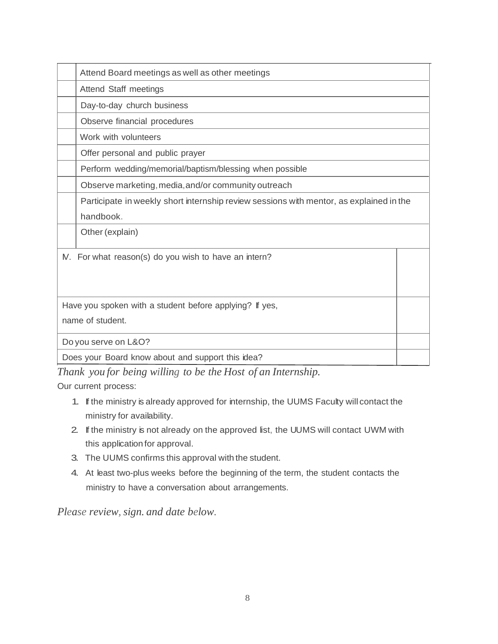| Attend Board meetings as well as other meetings                                         |  |
|-----------------------------------------------------------------------------------------|--|
| Attend Staff meetings                                                                   |  |
| Day-to-day church business                                                              |  |
| Observe financial procedures                                                            |  |
| Work with volunteers                                                                    |  |
| Offer personal and public prayer                                                        |  |
| Perform wedding/memorial/baptism/blessing when possible                                 |  |
| Observe marketing, media, and/or community outreach                                     |  |
| Participate in weekly short internship review sessions with mentor, as explained in the |  |
| handbook.                                                                               |  |
| Other (explain)                                                                         |  |
| IV. For what reason(s) do you wish to have an intern?                                   |  |
|                                                                                         |  |
|                                                                                         |  |
| Have you spoken with a student before applying? If yes,                                 |  |
| name of student.                                                                        |  |
| Do you serve on L&O?                                                                    |  |
| Does your Board know about and support this idea?                                       |  |

*Thank you for being willing to be the Host of an Internship.*

Our current process:

- 1. If the ministry is already approved for internship, the UUMS Faculty will contact the ministry for availability.
- 2. If the ministry is not already on the approved list, the UUMS will contact UWM with this application for approval.
- 3. The UUMS confirms this approval with the student.
- 4. At least two-plus weeks before the beginning of the term, the student contacts the ministry to have a conversation about arrangements.

 $Please$  *review, sign. and date below.*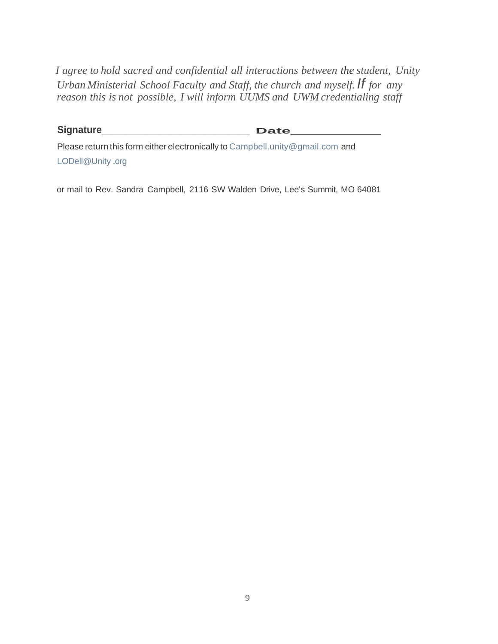*I agree to hold sacred and confidential all interactions between the student, Unity Urban Ministerial School Faculty and Staff, the church and myself.If for any reason this is not possible, I will inform UUMS and UWM credentialing staff*

#### **Signature\_\_\_\_\_\_\_\_\_\_\_\_\_ Date\_\_\_\_\_\_\_\_**

Please return this form either electronically to [Campbell.unity@gmail.com](mailto:Campbell.unity@gmail.com) and LODell@Unity .org

or mail to Rev. Sandra Campbell, 2116 SW Walden Drive, Lee's Summit, MO 64081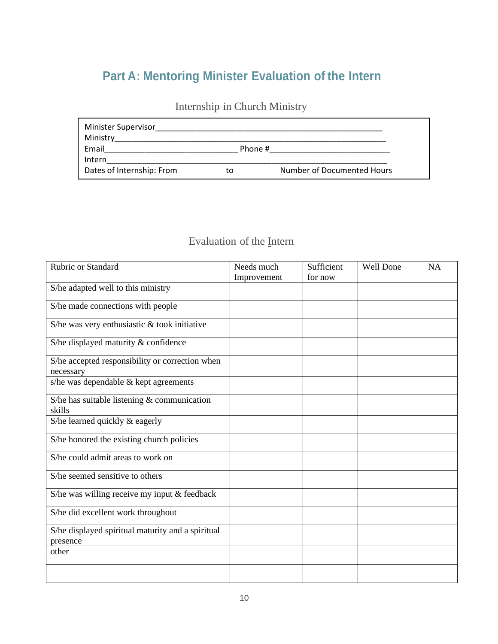# **Part A: Mentoring Minister Evaluation of the Intern**

| <b>Minister Supervisor</b><br>Ministry |         |                            |
|----------------------------------------|---------|----------------------------|
| Email                                  | Phone # |                            |
| Intern                                 |         |                            |
| Dates of Internship: From              | to      | Number of Documented Hours |

### Internship in Church Ministry

#### Evaluation of the Intern

| Rubric or Standard                                            | Needs much<br>Improvement | Sufficient<br>for now | Well Done | <b>NA</b> |
|---------------------------------------------------------------|---------------------------|-----------------------|-----------|-----------|
| S/he adapted well to this ministry                            |                           |                       |           |           |
|                                                               |                           |                       |           |           |
| S/he made connections with people                             |                           |                       |           |           |
| S/he was very enthusiastic $&$ took initiative                |                           |                       |           |           |
| S/he displayed maturity & confidence                          |                           |                       |           |           |
| S/he accepted responsibility or correction when               |                           |                       |           |           |
| necessary                                                     |                           |                       |           |           |
| s/he was dependable & kept agreements                         |                           |                       |           |           |
| S/he has suitable listening $&$ communication<br>skills       |                           |                       |           |           |
| S/he learned quickly & eagerly                                |                           |                       |           |           |
| S/he honored the existing church policies                     |                           |                       |           |           |
| S/he could admit areas to work on                             |                           |                       |           |           |
| S/he seemed sensitive to others                               |                           |                       |           |           |
| S/he was willing receive my input & feedback                  |                           |                       |           |           |
| S/he did excellent work throughout                            |                           |                       |           |           |
| S/he displayed spiritual maturity and a spiritual<br>presence |                           |                       |           |           |
| other                                                         |                           |                       |           |           |
|                                                               |                           |                       |           |           |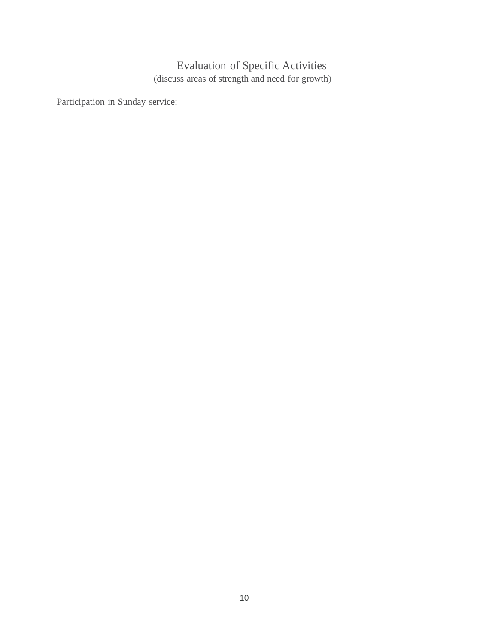### Evaluation of Specific Activities

(discuss areas of strength and need for growth)

Participation in Sunday service: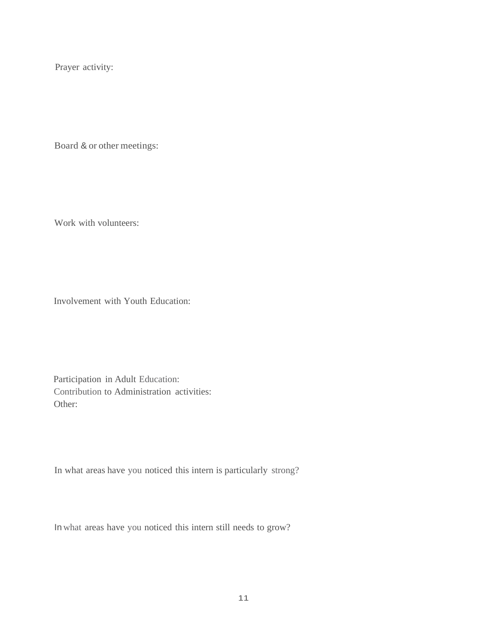Prayer activity:

Board & or other meetings:

Work with volunteers:

Involvement with Youth Education:

Participation in Adult Education: Contribution to Administration activities: Other:

In what areas have you noticed this intern is particularly strong?

In what areas have you noticed this intern still needs to grow?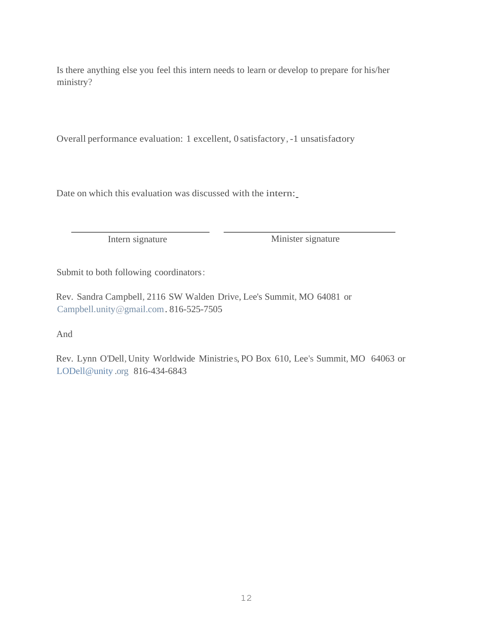Is there anything else you feel this intern needs to learn or develop to prepare for his/her ministry?

Overall performance evaluation: 1 excellent, 0 satisfactory,-1 unsatisfactory

Date on which this evaluation was discussed with the intern:

Intern signature Minister signature

Submit to both following coordinators:

Rev. Sandra Campbell, 2116 SW Walden Drive, Lee's Summit, MO 64081 or [Campbell.unity@gmail.com.](mailto:Campbell.unity@gmail.com) 816-525-7505

And

Rev. Lynn O'Dell, Unity Worldwide Ministries, PO Box 610, Lee's Summit, MO 64063 or LODell@unity .org 816-434-6843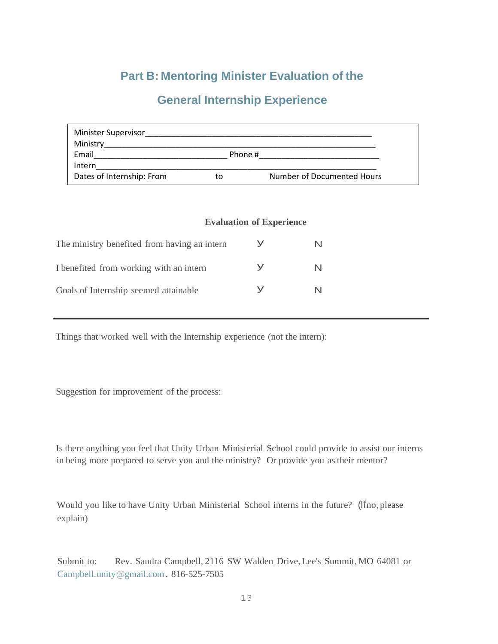## **Part B: Mentoring Minister Evaluation of the**

### **General Internship Experience**

| <b>Minister Supervisor</b><br>Ministry |         |                            |
|----------------------------------------|---------|----------------------------|
| Email                                  | Phone # |                            |
| Intern                                 |         |                            |
| Dates of Internship: From              | to      | Number of Documented Hours |

#### **Evaluation of Experience**

| The ministry benefited from having an intern |   | N |
|----------------------------------------------|---|---|
| I benefited from working with an intern      | V |   |
| Goals of Internship seemed attainable        |   |   |

Things that worked well with the Internship experience (not the intern):

Suggestion for improvement of the process:

Is there anything you feel that Unity Urban Ministerial School could provide to assist our interns in being more prepared to serve you and the ministry? Or provide you astheir mentor?

Would you like to have Unity Urban Ministerial School interns in the future? (If no, please explain)

Submit to: Rev. Sandra Campbell, 2116 SW Walden Drive, Lee's Summit, MO 64081 or [Campbell.unity@gmail.com.](mailto:Campbell.unity@gmail.com) 816-525-7505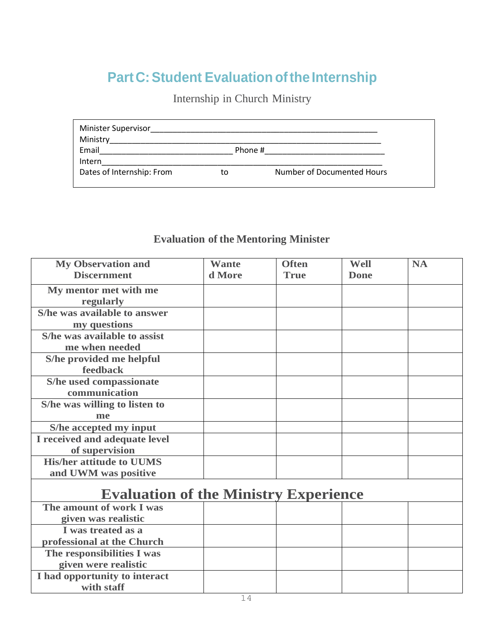# **Part C: Student Evaluation of the Internship**

## Internship in Church Ministry

| <b>Minister Supervisor</b><br>Ministry |         |                            |
|----------------------------------------|---------|----------------------------|
| Email                                  | Phone # |                            |
| Intern                                 |         |                            |
| Dates of Internship: From              | to      | Number of Documented Hours |
|                                        |         |                            |

### **Evaluation of the Mentoring Minister**

| <b>My Observation and</b>                    | <b>Wante</b> | <b>Often</b> | Well        | <b>NA</b> |
|----------------------------------------------|--------------|--------------|-------------|-----------|
| <b>Discernment</b>                           | d More       | <b>True</b>  | <b>Done</b> |           |
| My mentor met with me                        |              |              |             |           |
| regularly                                    |              |              |             |           |
| S/he was available to answer                 |              |              |             |           |
| my questions                                 |              |              |             |           |
| S/he was available to assist                 |              |              |             |           |
| me when needed                               |              |              |             |           |
| S/he provided me helpful                     |              |              |             |           |
| feedback                                     |              |              |             |           |
| S/he used compassionate                      |              |              |             |           |
| communication                                |              |              |             |           |
| S/he was willing to listen to                |              |              |             |           |
| me                                           |              |              |             |           |
| S/he accepted my input                       |              |              |             |           |
| I received and adequate level                |              |              |             |           |
| of supervision                               |              |              |             |           |
| <b>His/her attitude to UUMS</b>              |              |              |             |           |
| and UWM was positive                         |              |              |             |           |
|                                              |              |              |             |           |
| <b>Evaluation of the Ministry Experience</b> |              |              |             |           |
| The amount of work I was                     |              |              |             |           |
| given was realistic                          |              |              |             |           |
| I was treated as a                           |              |              |             |           |
| professional at the Church                   |              |              |             |           |
| The responsibilities I was                   |              |              |             |           |
| given were realistic                         |              |              |             |           |
| I had opportunity to interact                |              |              |             |           |
| with staff                                   |              |              |             |           |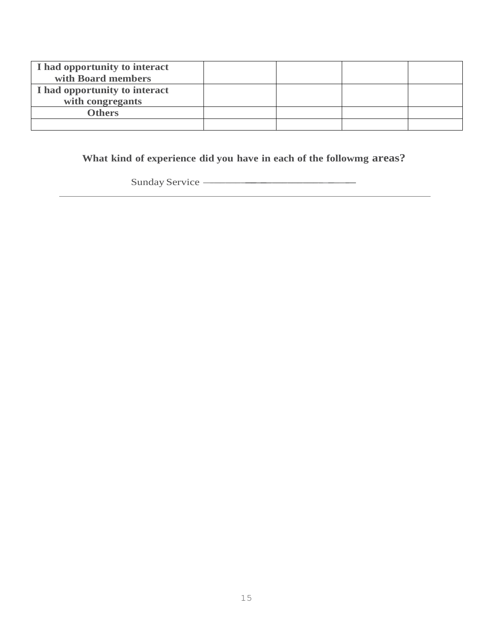| I had opportunity to interact |  |  |
|-------------------------------|--|--|
| with Board members            |  |  |
| I had opportunity to interact |  |  |
| with congregants              |  |  |
| <b>Others</b>                 |  |  |
|                               |  |  |

**What kind of experience did you have in each of the followmg areas?**

Sunday Service ----------------------------